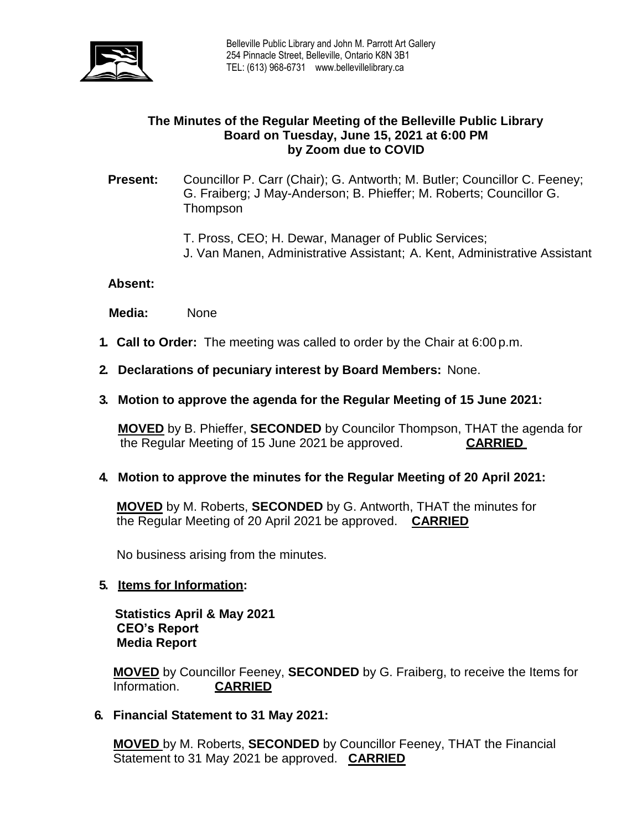

### **The Minutes of the Regular Meeting of the Belleville Public Library Board on Tuesday, June 15, 2021 at 6:00 PM by Zoom due to COVID**

### **Present:** Councillor P. Carr (Chair); G. Antworth; M. Butler; Councillor C. Feeney; G. Fraiberg; J May-Anderson; B. Phieffer; M. Roberts; Councillor G. **Thompson**

T. Pross, CEO; H. Dewar, Manager of Public Services;

J. Van Manen, Administrative Assistant; A. Kent, Administrative Assistant

#### **Absent:**

 **Media:** None

- **1. Call to Order:** The meeting was called to order by the Chair at 6:00 p.m.
- **2. Declarations of pecuniary interest by Board Members:** None.
- **3. Motion to approve the agenda for the Regular Meeting of 15 June 2021:**

**MOVED** by B. Phieffer, **SECONDED** by Councilor Thompson, THAT the agenda for the Regular Meeting of 15 June 2021 be approved. **CARRIED**

**4. Motion to approve the minutes for the Regular Meeting of 20 April 2021:**

**MOVED** by M. Roberts, **SECONDED** by G. Antworth, THAT the minutes for the Regular Meeting of 20 April 2021 be approved. **CARRIED**

No business arising from the minutes.

#### **5. Items for Information:**

 **Statistics April & May 2021 CEO's Report Media Report**

**MOVED** by Councillor Feeney, **SECONDED** by G. Fraiberg, to receive the Items for Information. **CARRIED** 

### **6. Financial Statement to 31 May 2021:**

**MOVED** by M. Roberts, **SECONDED** by Councillor Feeney, THAT the Financial Statement to 31 May 2021 be approved. **CARRIED**